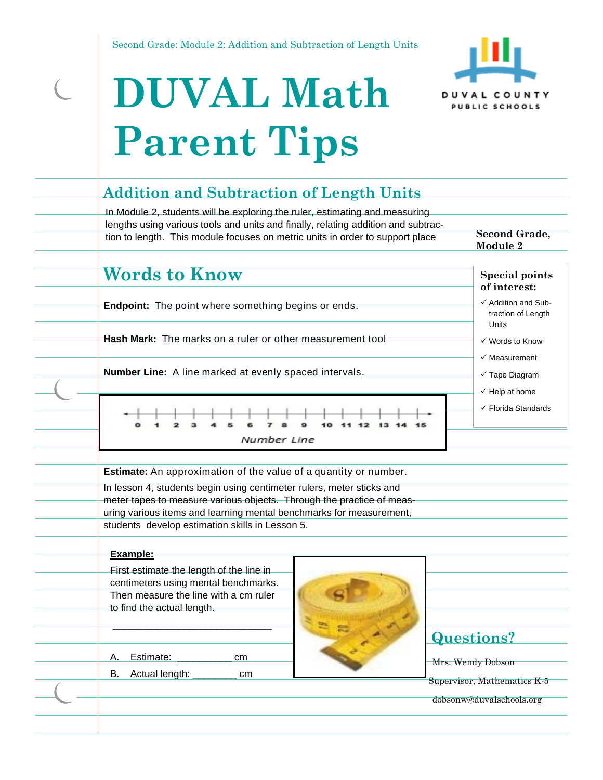

# **DUVAL Math Parent Tips**

 $\overline{C}$ 

| In Module 2, students will be exploring the ruler, estimating and measuring<br>lengths using various tools and units and finally, relating addition and subtrac-<br>tion to length. This module focuses on metric units in order to support place | Second Grade,<br>Module 2                                   |
|---------------------------------------------------------------------------------------------------------------------------------------------------------------------------------------------------------------------------------------------------|-------------------------------------------------------------|
|                                                                                                                                                                                                                                                   |                                                             |
| <b>Words to Know</b>                                                                                                                                                                                                                              | <b>Special points</b><br>of interest:                       |
| <b>Endpoint:</b> The point where something begins or ends.                                                                                                                                                                                        | ✓ Addition and Sub-<br>traction of Length<br>Units          |
| Hash Mark: The marks on a ruler or other measurement tool                                                                                                                                                                                         | ✓ Words to Know                                             |
|                                                                                                                                                                                                                                                   | $\checkmark$ Measurement                                    |
| Number Line: A line marked at evenly spaced intervals.                                                                                                                                                                                            | $\checkmark$ Tape Diagram                                   |
|                                                                                                                                                                                                                                                   | $\checkmark$ Help at home<br>$\checkmark$ Florida Standards |
| Number Line                                                                                                                                                                                                                                       |                                                             |
|                                                                                                                                                                                                                                                   |                                                             |
| <b>Estimate:</b> An approximation of the value of a quantity or number.                                                                                                                                                                           |                                                             |
| In lesson 4, students begin using centimeter rulers, meter sticks and                                                                                                                                                                             |                                                             |
| meter tapes to measure various objects. Through the practice of meas-                                                                                                                                                                             |                                                             |
| uring various items and learning mental benchmarks for measurement,<br>students develop estimation skills in Lesson 5.                                                                                                                            |                                                             |
|                                                                                                                                                                                                                                                   |                                                             |
| Example:                                                                                                                                                                                                                                          |                                                             |
| First estimate the length of the line in                                                                                                                                                                                                          |                                                             |
| centimeters using mental benchmarks.                                                                                                                                                                                                              |                                                             |
| Then measure the line with a cm ruler                                                                                                                                                                                                             |                                                             |
| to find the actual length.                                                                                                                                                                                                                        |                                                             |
|                                                                                                                                                                                                                                                   |                                                             |
|                                                                                                                                                                                                                                                   | <b>Questions?</b>                                           |
| Estimate:<br>cm<br>Α.                                                                                                                                                                                                                             | Mrs. Wendy Dobson                                           |
| Actual length:<br>В.<br>cm                                                                                                                                                                                                                        |                                                             |
|                                                                                                                                                                                                                                                   | Supervisor, Mathematics K-5                                 |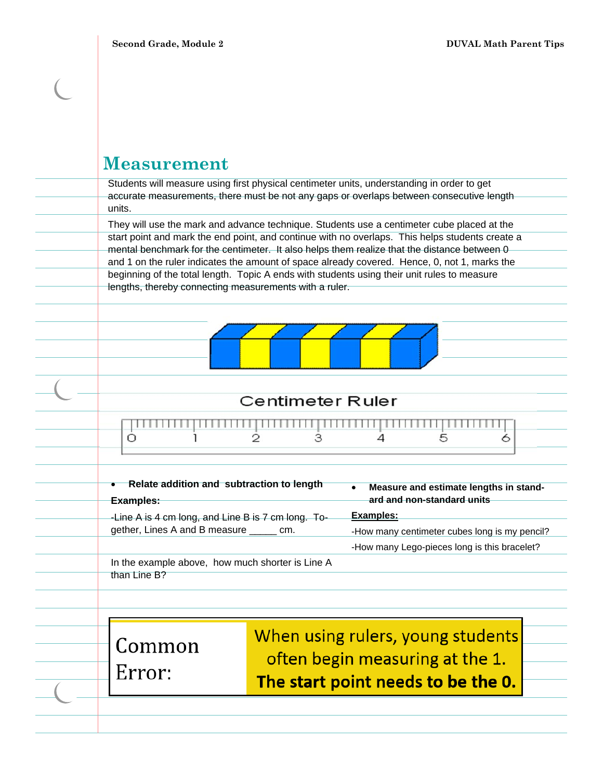| <b>Measurement</b> |  |
|--------------------|--|
|--------------------|--|

Students will measure using first physical centimeter units, understanding in order to get accurate measurements, there must be not any gaps or overlaps between consecutive length units.

They will use the mark and advance technique. Students use a centimeter cube placed at the start point and mark the end point, and continue with no overlaps. This helps students create a mental benchmark for the centimeter. It also helps them realize that the distance between 0 and 1 on the ruler indicates the amount of space already covered. Hence, 0, not 1, marks the beginning of the total length. Topic A ends with students using their unit rules to measure lengths, thereby connecting measurements with a ruler.



#### Centimeter Ruler

|  | ,,,,,,,,,,,,,,,,,,,,,,,,,,,,,,,,,,, |  |  |
|--|-------------------------------------|--|--|
|  |                                     |  |  |

| Examples:    | • Relate addition and subtraction to length        | Measure and estimate lengths in stand-<br>$\bullet$<br>ard and non-standard units |
|--------------|----------------------------------------------------|-----------------------------------------------------------------------------------|
|              | -Line A is 4 cm long, and Line B is 7 cm long. To- | Examples:                                                                         |
|              | gether, Lines A and B measure _______ cm.          | -How many centimeter cubes long is my pencil?                                     |
|              |                                                    | -How many Lego-pieces long is this bracelet?                                      |
| than Line B? | In the example above, how much shorter is Line A   |                                                                                   |
|              |                                                    |                                                                                   |
|              |                                                    |                                                                                   |

Common Error:

When using rulers, young students often begin measuring at the 1. The start point needs to be the 0.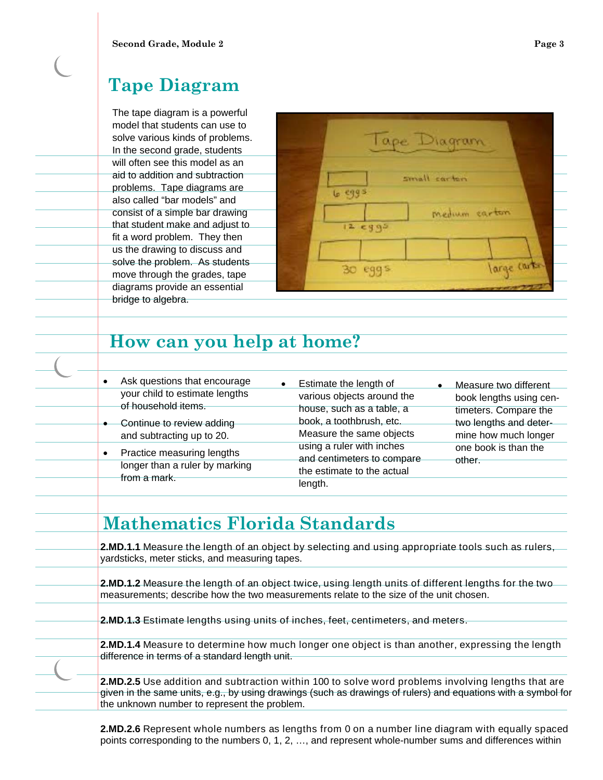# **Tape Diagram**

The tape diagram is a powerful model that students can use to solve various kinds of problems. In the second grade, students will often see this model as an aid to addition and subtraction problems. Tape diagrams are also called "bar models" and consist of a simple bar drawing that student make and adjust to fit a word problem. They then us the drawing to discuss and solve the problem. As students move through the grades, tape diagrams provide an essential bridge to algebra.



# **How can you help at home?**

| Ask questions that encourage<br>$\bullet$             | Estimate the length of<br>$\bullet$                     | Measure two different<br>$\bullet$              |
|-------------------------------------------------------|---------------------------------------------------------|-------------------------------------------------|
| your child to estimate lengths<br>of household items. | various objects around the                              | book lengths using cen-                         |
| Continue to review adding                             | house, such as a table, a<br>book, a toothbrush, etc.   | timeters. Compare the<br>two lengths and deter- |
| and subtracting up to 20.                             | Measure the same objects                                | mine how much longer                            |
| Practice measuring lengths<br>$\bullet$               | using a ruler with inches<br>and centimeters to compare | one book is than the<br>other.                  |
| longer than a ruler by marking<br>from a mark.        | the estimate to the actual                              |                                                 |
|                                                       | length.                                                 |                                                 |

# **Mathematics Florida Standards**

**2.MD.1.1** Measure the length of an object by selecting and using appropriate tools such as rulers, yardsticks, meter sticks, and measuring tapes.

**2.MD.1.2** Measure the length of an object twice, using length units of different lengths for the two measurements; describe how the two measurements relate to the size of the unit chosen.

**2.MD.1.3** Estimate lengths using units of inches, feet, centimeters, and meters.

**2.MD.1.4** Measure to determine how much longer one object is than another, expressing the length difference in terms of a standard length unit.

**2.MD.2.5** Use addition and subtraction within 100 to solve word problems involving lengths that are given in the same units, e.g., by using drawings (such as drawings of rulers) and equations with a symbol for the unknown number to represent the problem.

**2.MD.2.6** Represent whole numbers as lengths from 0 on a number line diagram with equally spaced points corresponding to the numbers 0, 1, 2, …, and represent whole-number sums and differences within